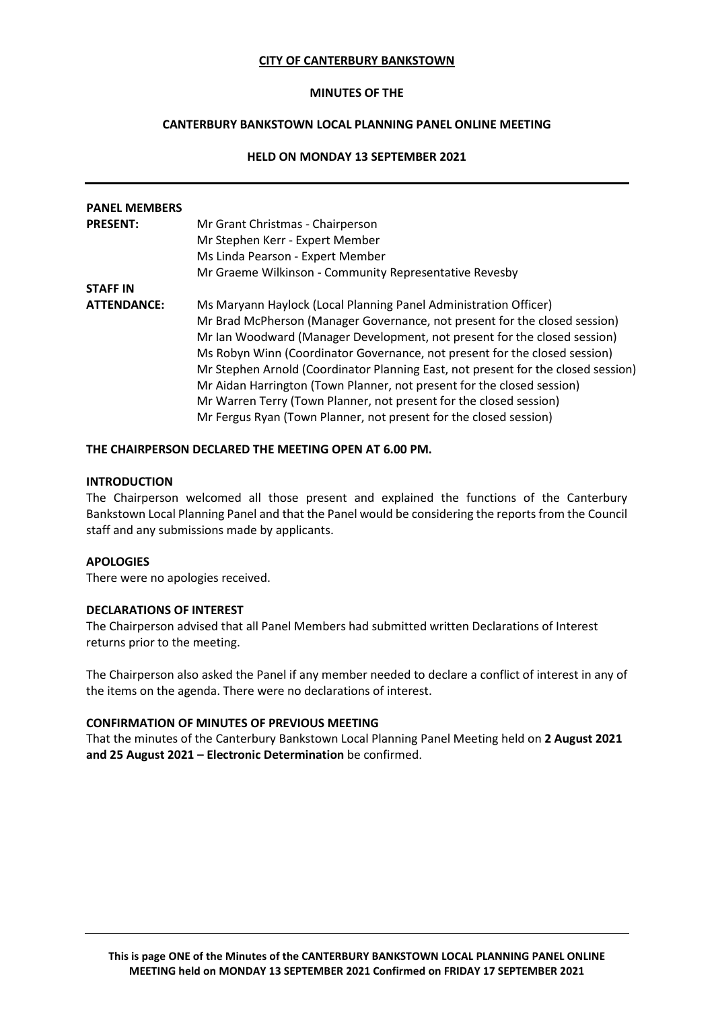### **CITY OF CANTERBURY BANKSTOWN**

## **MINUTES OF THE**

# **CANTERBURY BANKSTOWN LOCAL PLANNING PANEL ONLINE MEETING**

# **HELD ON MONDAY 13 SEPTEMBER 2021**

| <b>PANEL MEMBERS</b> |                                                                                   |
|----------------------|-----------------------------------------------------------------------------------|
| <b>PRESENT:</b>      | Mr Grant Christmas - Chairperson                                                  |
|                      | Mr Stephen Kerr - Expert Member                                                   |
|                      | Ms Linda Pearson - Expert Member                                                  |
|                      | Mr Graeme Wilkinson - Community Representative Revesby                            |
| <b>STAFF IN</b>      |                                                                                   |
| <b>ATTENDANCE:</b>   | Ms Maryann Haylock (Local Planning Panel Administration Officer)                  |
|                      | Mr Brad McPherson (Manager Governance, not present for the closed session)        |
|                      | Mr Ian Woodward (Manager Development, not present for the closed session)         |
|                      | Ms Robyn Winn (Coordinator Governance, not present for the closed session)        |
|                      | Mr Stephen Arnold (Coordinator Planning East, not present for the closed session) |
|                      | Mr Aidan Harrington (Town Planner, not present for the closed session)            |
|                      | Mr Warren Terry (Town Planner, not present for the closed session)                |
|                      | Mr Fergus Ryan (Town Planner, not present for the closed session)                 |

### **THE CHAIRPERSON DECLARED THE MEETING OPEN AT 6.00 PM.**

### **INTRODUCTION**

The Chairperson welcomed all those present and explained the functions of the Canterbury Bankstown Local Planning Panel and that the Panel would be considering the reports from the Council staff and any submissions made by applicants.

### **APOLOGIES**

There were no apologies received.

## **DECLARATIONS OF INTEREST**

The Chairperson advised that all Panel Members had submitted written Declarations of Interest returns prior to the meeting.

The Chairperson also asked the Panel if any member needed to declare a conflict of interest in any of the items on the agenda. There were no declarations of interest.

### **CONFIRMATION OF MINUTES OF PREVIOUS MEETING**

That the minutes of the Canterbury Bankstown Local Planning Panel Meeting held on **2 August 2021 and 25 August 2021 – Electronic Determination** be confirmed.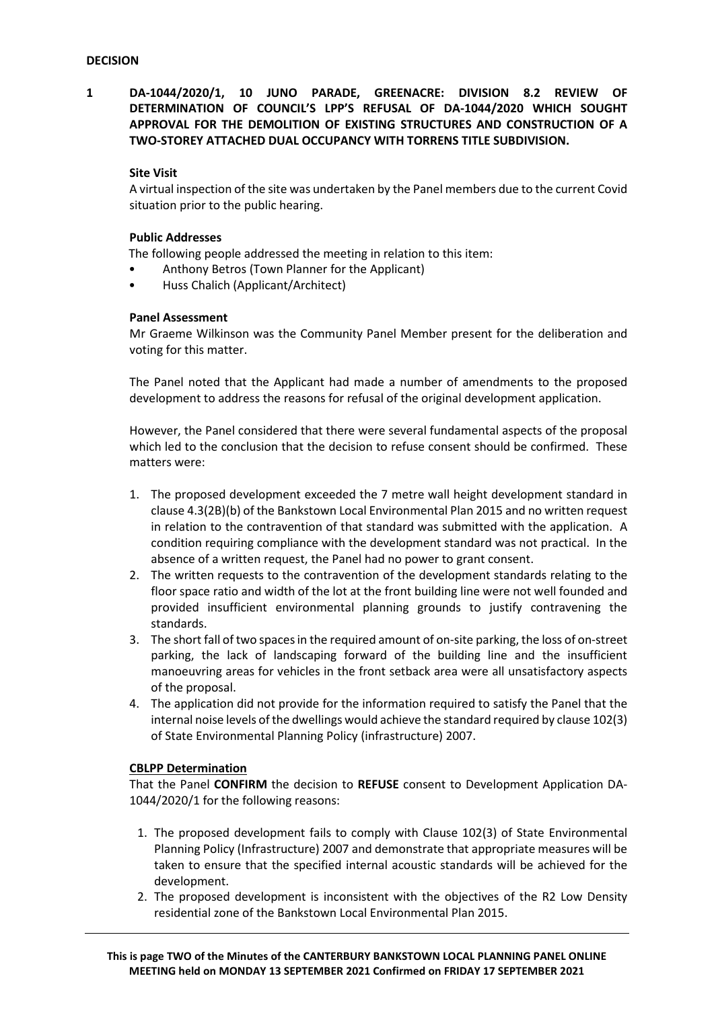**1 DA-1044/2020/1, 10 JUNO PARADE, GREENACRE: DIVISION 8.2 REVIEW OF DETERMINATION OF COUNCIL'S LPP'S REFUSAL OF DA-1044/2020 WHICH SOUGHT APPROVAL FOR THE DEMOLITION OF EXISTING STRUCTURES AND CONSTRUCTION OF A TWO-STOREY ATTACHED DUAL OCCUPANCY WITH TORRENS TITLE SUBDIVISION.**

## **Site Visit**

A virtual inspection of the site was undertaken by the Panel members due to the current Covid situation prior to the public hearing.

### **Public Addresses**

The following people addressed the meeting in relation to this item:

- Anthony Betros (Town Planner for the Applicant)
- Huss Chalich (Applicant/Architect)

## **Panel Assessment**

Mr Graeme Wilkinson was the Community Panel Member present for the deliberation and voting for this matter.

The Panel noted that the Applicant had made a number of amendments to the proposed development to address the reasons for refusal of the original development application.

However, the Panel considered that there were several fundamental aspects of the proposal which led to the conclusion that the decision to refuse consent should be confirmed. These matters were:

- 1. The proposed development exceeded the 7 metre wall height development standard in clause 4.3(2B)(b) of the Bankstown Local Environmental Plan 2015 and no written request in relation to the contravention of that standard was submitted with the application. A condition requiring compliance with the development standard was not practical. In the absence of a written request, the Panel had no power to grant consent.
- 2. The written requests to the contravention of the development standards relating to the floor space ratio and width of the lot at the front building line were not well founded and provided insufficient environmental planning grounds to justify contravening the standards.
- 3. The short fall of two spaces in the required amount of on-site parking, the loss of on-street parking, the lack of landscaping forward of the building line and the insufficient manoeuvring areas for vehicles in the front setback area were all unsatisfactory aspects of the proposal.
- 4. The application did not provide for the information required to satisfy the Panel that the internal noise levels of the dwellings would achieve the standard required by clause 102(3) of State Environmental Planning Policy (infrastructure) 2007.

### **CBLPP Determination**

That the Panel **CONFIRM** the decision to **REFUSE** consent to Development Application DA-1044/2020/1 for the following reasons:

- 1. The proposed development fails to comply with Clause 102(3) of State Environmental Planning Policy (Infrastructure) 2007 and demonstrate that appropriate measures will be taken to ensure that the specified internal acoustic standards will be achieved for the development.
- 2. The proposed development is inconsistent with the objectives of the R2 Low Density residential zone of the Bankstown Local Environmental Plan 2015.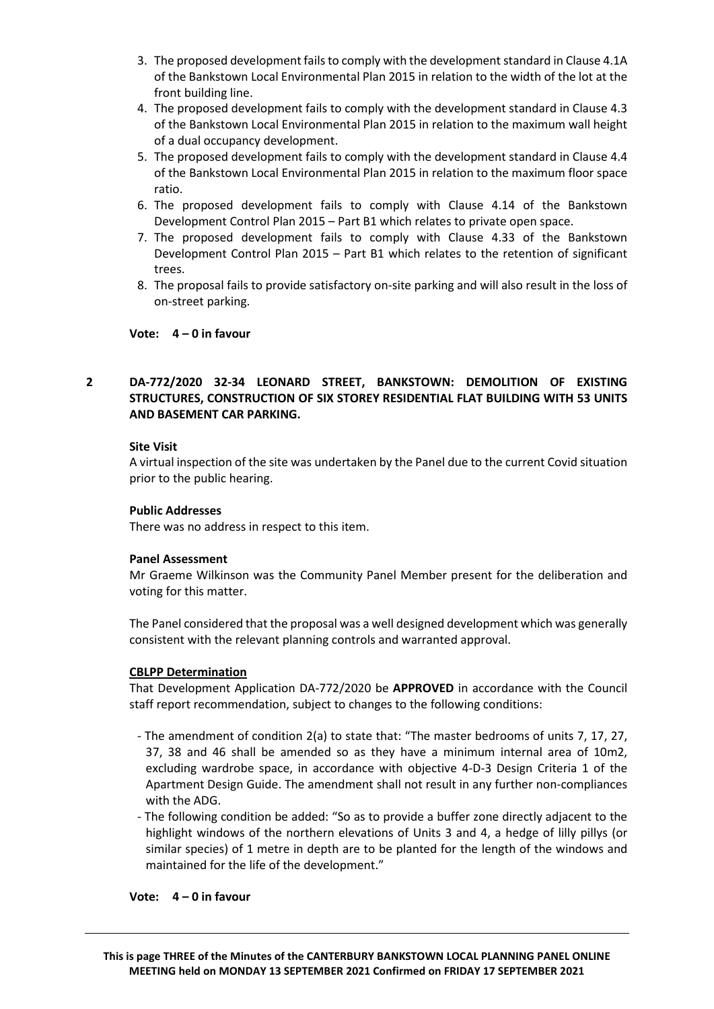- 3. The proposed development fails to comply with the development standard in Clause 4.1A of the Bankstown Local Environmental Plan 2015 in relation to the width of the lot at the front building line.
- 4. The proposed development fails to comply with the development standard in Clause 4.3 of the Bankstown Local Environmental Plan 2015 in relation to the maximum wall height of a dual occupancy development.
- 5. The proposed development fails to comply with the development standard in Clause 4.4 of the Bankstown Local Environmental Plan 2015 in relation to the maximum floor space ratio.
- 6. The proposed development fails to comply with Clause 4.14 of the Bankstown Development Control Plan 2015 – Part B1 which relates to private open space.
- 7. The proposed development fails to comply with Clause 4.33 of the Bankstown Development Control Plan 2015 – Part B1 which relates to the retention of significant trees.
- 8. The proposal fails to provide satisfactory on-site parking and will also result in the loss of on-street parking.

## **Vote: 4 – 0 in favour**

# **2 DA-772/2020 32-34 LEONARD STREET, BANKSTOWN: DEMOLITION OF EXISTING STRUCTURES, CONSTRUCTION OF SIX STOREY RESIDENTIAL FLAT BUILDING WITH 53 UNITS AND BASEMENT CAR PARKING.**

## **Site Visit**

A virtual inspection of the site was undertaken by the Panel due to the current Covid situation prior to the public hearing.

## **Public Addresses**

There was no address in respect to this item.

## **Panel Assessment**

Mr Graeme Wilkinson was the Community Panel Member present for the deliberation and voting for this matter.

The Panel considered that the proposal was a well designed development which was generally consistent with the relevant planning controls and warranted approval.

## **CBLPP Determination**

That Development Application DA-772/2020 be **APPROVED** in accordance with the Council staff report recommendation, subject to changes to the following conditions:

- The amendment of condition 2(a) to state that: "The master bedrooms of units 7, 17, 27, 37, 38 and 46 shall be amended so as they have a minimum internal area of 10m2, excluding wardrobe space, in accordance with objective 4-D-3 Design Criteria 1 of the Apartment Design Guide. The amendment shall not result in any further non-compliances with the ADG.
- The following condition be added: "So as to provide a buffer zone directly adjacent to the highlight windows of the northern elevations of Units 3 and 4, a hedge of lilly pillys (or similar species) of 1 metre in depth are to be planted for the length of the windows and maintained for the life of the development."

## **Vote: 4 – 0 in favour**